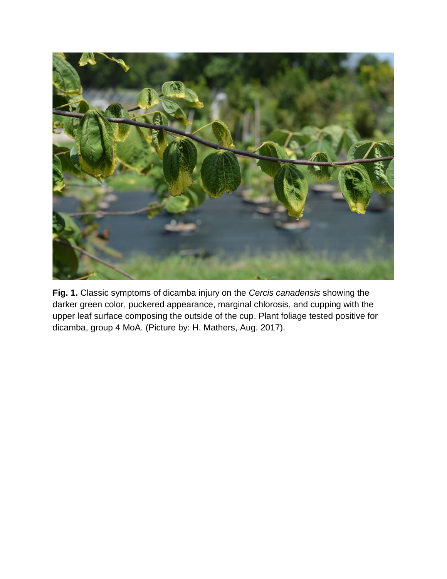

**Fig. 1.** Classic symptoms of dicamba injury on the *Cercis canadensis* showing the darker green color, puckered appearance, marginal chlorosis, and cupping with the upper leaf surface composing the outside of the cup. Plant foliage tested positive for dicamba, group 4 MoA. (Picture by: H. Mathers, Aug. 2017).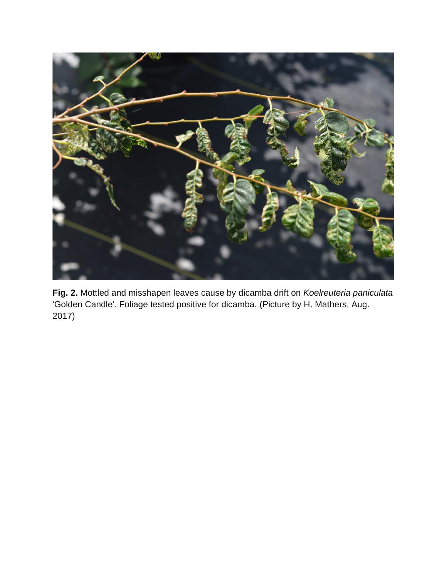

**Fig. 2.** Mottled and misshapen leaves cause by dicamba drift on *Koelreuteria paniculata* 'Golden Candle'. Foliage tested positive for dicamba. (Picture by H. Mathers, Aug. 2017)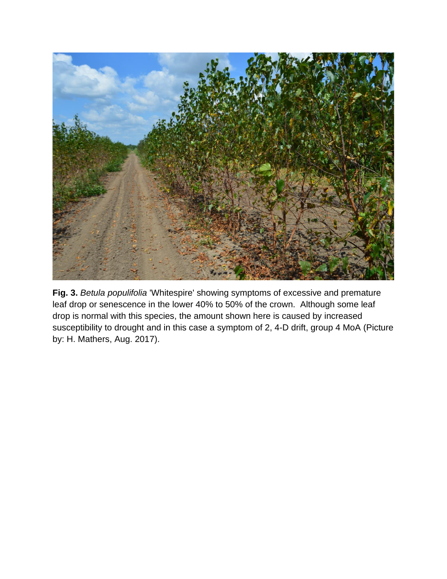

**Fig. 3.** *Betula populifolia* 'Whitespire' showing symptoms of excessive and premature leaf drop or senescence in the lower 40% to 50% of the crown. Although some leaf drop is normal with this species, the amount shown here is caused by increased susceptibility to drought and in this case a symptom of 2, 4-D drift, group 4 MoA (Picture by: H. Mathers, Aug. 2017).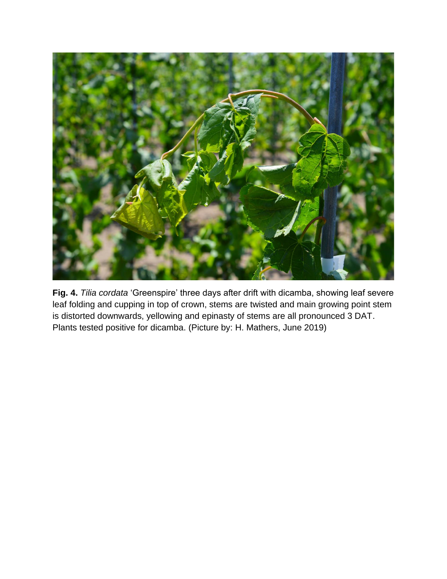

**Fig. 4.** *Tilia cordata* 'Greenspire' three days after drift with dicamba, showing leaf severe leaf folding and cupping in top of crown, stems are twisted and main growing point stem is distorted downwards, yellowing and epinasty of stems are all pronounced 3 DAT. Plants tested positive for dicamba. (Picture by: H. Mathers, June 2019)